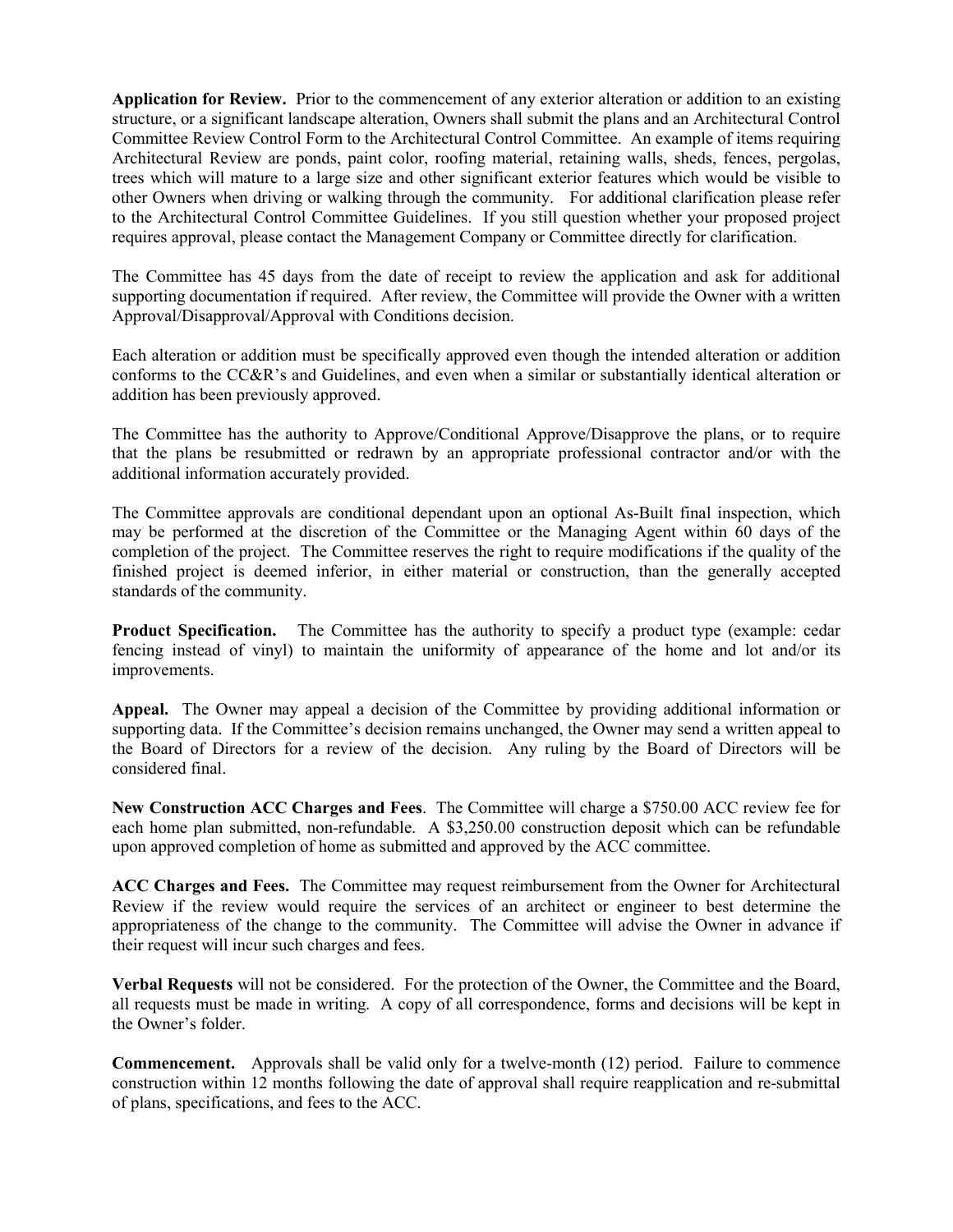**Application for Review.** Prior to the commencement of any exterior alteration or addition to an existing structure, or a significant landscape alteration, Owners shall submit the plans and an Architectural Control Committee Review Control Form to the Architectural Control Committee. An example of items requiring Architectural Review are ponds, paint color, roofing material, retaining walls, sheds, fences, pergolas, trees which will mature to a large size and other significant exterior features which would be visible to other Owners when driving or walking through the community. For additional clarification please refer to the Architectural Control Committee Guidelines. If you still question whether your proposed project requires approval, please contact the Management Company or Committee directly for clarification.

The Committee has 45 days from the date of receipt to review the application and ask for additional supporting documentation if required. After review, the Committee will provide the Owner with a written Approval/Disapproval/Approval with Conditions decision.

Each alteration or addition must be specifically approved even though the intended alteration or addition conforms to the CC&R's and Guidelines, and even when a similar or substantially identical alteration or addition has been previously approved.

The Committee has the authority to Approve/Conditional Approve/Disapprove the plans, or to require that the plans be resubmitted or redrawn by an appropriate professional contractor and/or with the additional information accurately provided.

The Committee approvals are conditional dependant upon an optional As-Built final inspection, which may be performed at the discretion of the Committee or the Managing Agent within 60 days of the completion of the project. The Committee reserves the right to require modifications if the quality of the finished project is deemed inferior, in either material or construction, than the generally accepted standards of the community.

**Product Specification.** The Committee has the authority to specify a product type (example: cedar fencing instead of vinyl) to maintain the uniformity of appearance of the home and lot and/or its improvements.

**Appeal.** The Owner may appeal a decision of the Committee by providing additional information or supporting data. If the Committee's decision remains unchanged, the Owner may send a written appeal to the Board of Directors for a review of the decision. Any ruling by the Board of Directors will be considered final.

**New Construction ACC Charges and Fees**. The Committee will charge a \$750.00 ACC review fee for each home plan submitted, non-refundable. A \$3,250.00 construction deposit which can be refundable upon approved completion of home as submitted and approved by the ACC committee.

**ACC Charges and Fees.** The Committee may request reimbursement from the Owner for Architectural Review if the review would require the services of an architect or engineer to best determine the appropriateness of the change to the community. The Committee will advise the Owner in advance if their request will incur such charges and fees.

**Verbal Requests** will not be considered. For the protection of the Owner, the Committee and the Board, all requests must be made in writing. A copy of all correspondence, forms and decisions will be kept in the Owner's folder.

**Commencement.** Approvals shall be valid only for a twelve-month (12) period. Failure to commence construction within 12 months following the date of approval shall require reapplication and re-submittal of plans, specifications, and fees to the ACC.